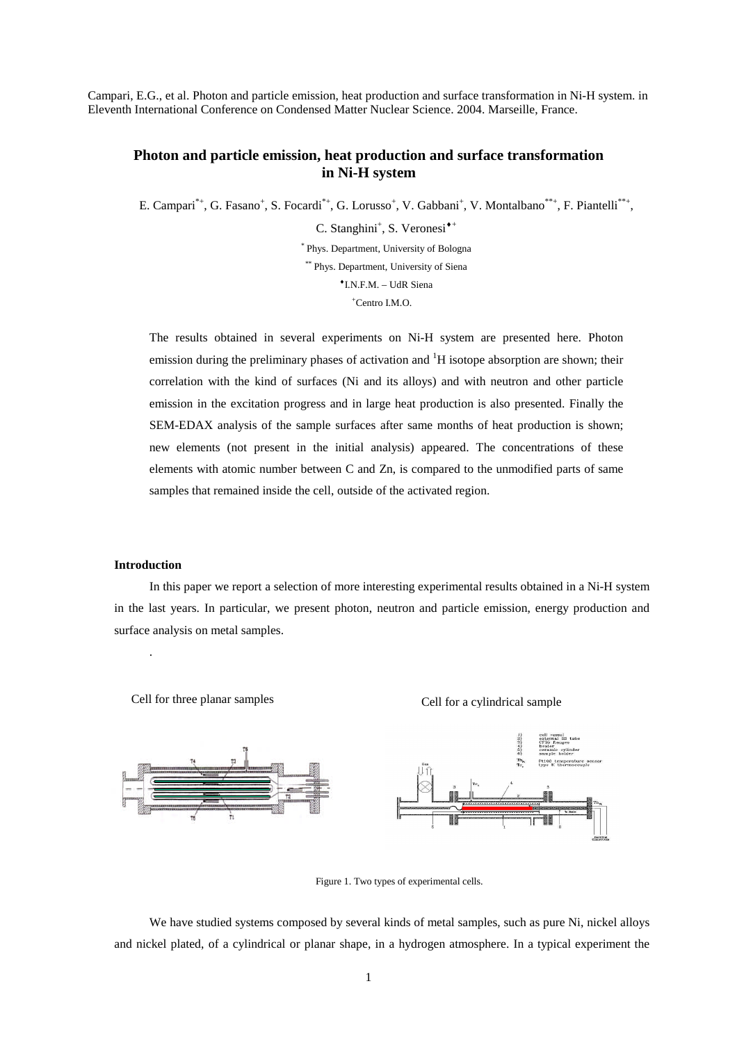Campari, E.G., et al. Photon and particle emission, heat production and surface transformation in Ni-H system. in Eleventh International Conference on Condensed Matter Nuclear Science. 2004. Marseille, France.

# **Photon and particle emission, heat production and surface transformation in Ni-H system**

E. Campari<sup>\*+</sup>, G. Fasano<sup>+</sup>, S. Focardi<sup>\*+</sup>, G. Lorusso<sup>+</sup>, V. Gabbani<sup>+</sup>, V. Montalbano<sup>\*\*+</sup>, F. Piantelli<sup>\*\*+</sup>,

C. Stanghini<sup>+</sup>, S. Veronesi<sup>\*+</sup>

\* Phys. Department, University of Bologna \*\* Phys. Department, University of Siena

I.N.F.M. – UdR Siena

<sup>+</sup>Centro I.M.O.

The results obtained in several experiments on Ni-H system are presented here. Photon emission during the preliminary phases of activation and  ${}^{1}H$  isotope absorption are shown; their correlation with the kind of surfaces (Ni and its alloys) and with neutron and other particle emission in the excitation progress and in large heat production is also presented. Finally the SEM-EDAX analysis of the sample surfaces after same months of heat production is shown; new elements (not present in the initial analysis) appeared. The concentrations of these elements with atomic number between C and Zn, is compared to the unmodified parts of same samples that remained inside the cell, outside of the activated region.

# **Introduction**

.

In this paper we report a selection of more interesting experimental results obtained in a Ni-H system in the last years. In particular, we present photon, neutron and particle emission, energy production and surface analysis on metal samples.



Figure 1. Two types of experimental cells.

We have studied systems composed by several kinds of metal samples, such as pure Ni, nickel alloys and nickel plated, of a cylindrical or planar shape, in a hydrogen atmosphere. In a typical experiment the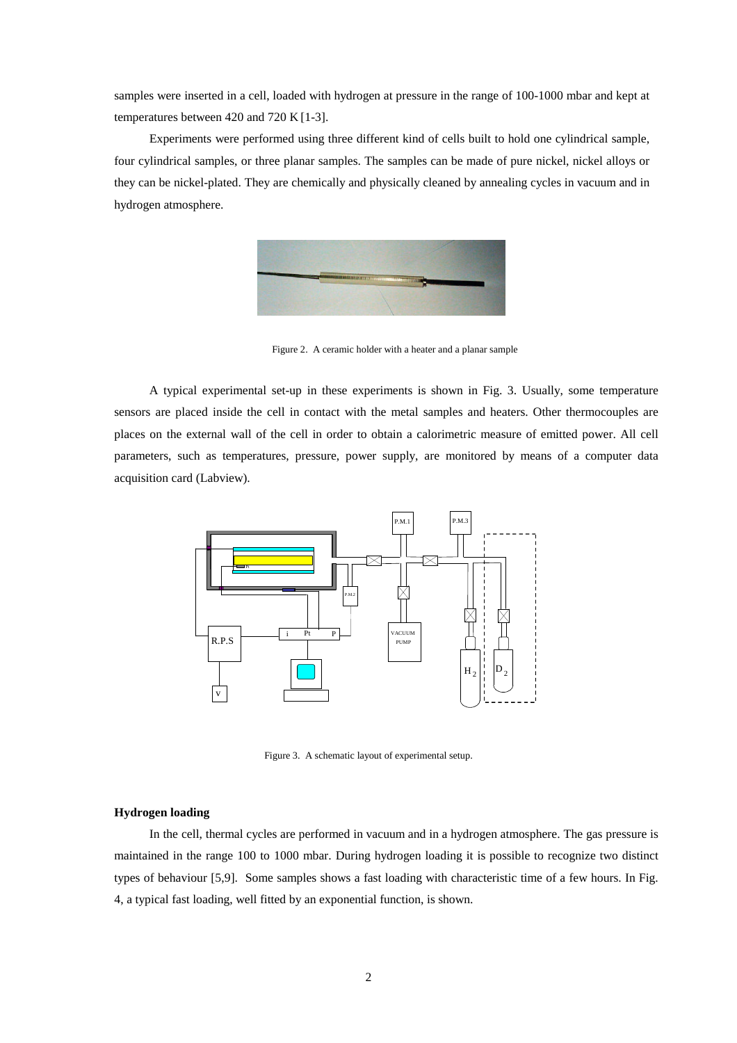samples were inserted in a cell, loaded with hydrogen at pressure in the range of 100-1000 mbar and kept at temperatures between 420 and 720 K [1-3].

Experiments were performed using three different kind of cells built to hold one cylindrical sample, four cylindrical samples, or three planar samples. The samples can be made of pure nickel, nickel alloys or they can be nickel-plated. They are chemically and physically cleaned by annealing cycles in vacuum and in hydrogen atmosphere.



Figure 2. A ceramic holder with a heater and a planar sample

A typical experimental set-up in these experiments is shown in Fig. 3. Usually, some temperature sensors are placed inside the cell in contact with the metal samples and heaters. Other thermocouples are places on the external wall of the cell in order to obtain a calorimetric measure of emitted power. All cell parameters, such as temperatures, pressure, power supply, are monitored by means of a computer data acquisition card (Labview).



Figure 3. A schematic layout of experimental setup.

## **Hydrogen loading**

In the cell, thermal cycles are performed in vacuum and in a hydrogen atmosphere. The gas pressure is maintained in the range 100 to 1000 mbar. During hydrogen loading it is possible to recognize two distinct types of behaviour [5,9]. Some samples shows a fast loading with characteristic time of a few hours. In Fig. 4, a typical fast loading, well fitted by an exponential function, is shown.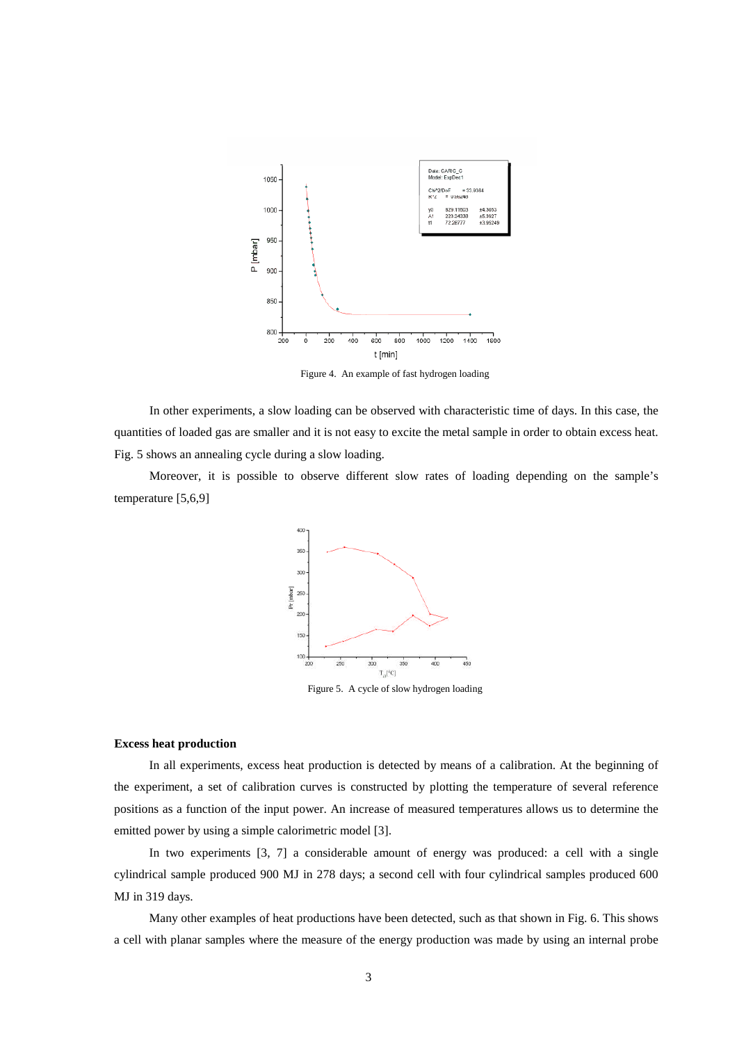

Figure 4. An example of fast hydrogen loading

In other experiments, a slow loading can be observed with characteristic time of days. In this case, the quantities of loaded gas are smaller and it is not easy to excite the metal sample in order to obtain excess heat. Fig. 5 shows an annealing cycle during a slow loading.

Moreover, it is possible to observe different slow rates of loading depending on the sample's temperature [5,6,9]



Figure 5. A cycle of slow hydrogen loading

## **Excess heat production**

In all experiments, excess heat production is detected by means of a calibration. At the beginning of the experiment, a set of calibration curves is constructed by plotting the temperature of several reference positions as a function of the input power. An increase of measured temperatures allows us to determine the emitted power by using a simple calorimetric model [3].

In two experiments [3, 7] a considerable amount of energy was produced: a cell with a single cylindrical sample produced 900 MJ in 278 days; a second cell with four cylindrical samples produced 600 MJ in 319 days.

Many other examples of heat productions have been detected, such as that shown in Fig. 6. This shows a cell with planar samples where the measure of the energy production was made by using an internal probe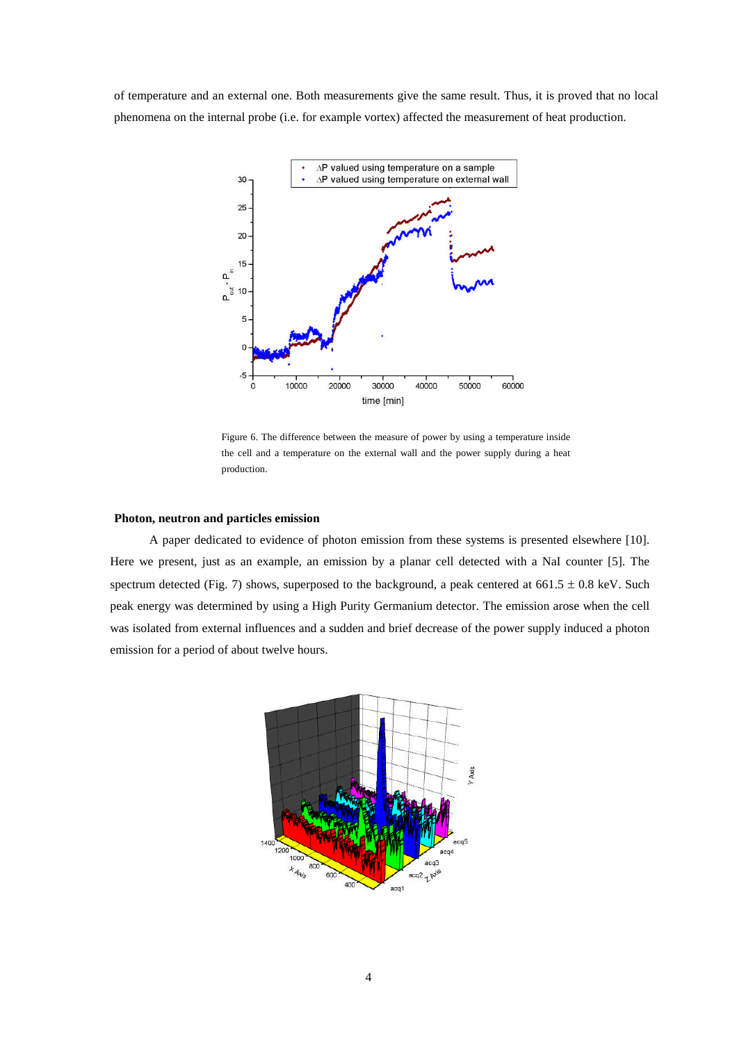of temperature and an external one. Both measurements give the same result. Thus, it is proved that no local phenomena on the internal probe (i.e. for example vortex) affected the measurement of heat production.



Figure 6. The difference between the measure of power by using a temperature inside the cell and a temperature on the external wall and the power supply during a heat production.

#### **Photon, neutron and particles emission**

A paper dedicated to evidence of photon emission from these systems is presented elsewhere [10]. Here we present, just as an example, an emission by a planar cell detected with a NaI counter [5]. The spectrum detected (Fig. 7) shows, superposed to the background, a peak centered at  $661.5 \pm 0.8$  keV. Such peak energy was determined by using a High Purity Germanium detector. The emission arose when the cell was isolated from external influences and a sudden and brief decrease of the power supply induced a photon emission for a period of about twelve hours.

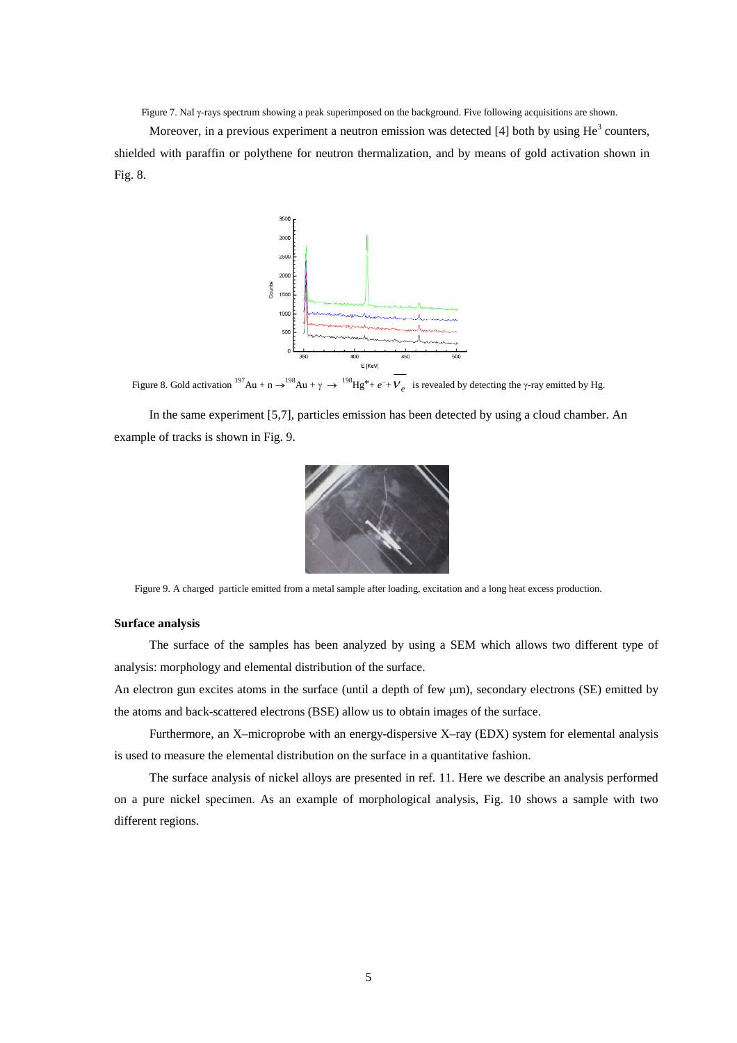Figure 7. NaI y-rays spectrum showing a peak superimposed on the background. Five following acquisitions are shown.

Moreover, in a previous experiment a neutron emission was detected [4] both by using  $\text{He}^3$  counters, shielded with paraffin or polythene for neutron thermalization, and by means of gold activation shown in Fig. 8.



Figure 8. Gold activation  $^{197}Au + n \rightarrow ^{198}Au + \gamma \rightarrow ^{198}Hg^* + e^- + V_e$  is revealed by detecting the  $\gamma$ -ray emitted by Hg.

In the same experiment [5,7], particles emission has been detected by using a cloud chamber. An example of tracks is shown in Fig. 9.



Figure 9. A charged particle emitted from a metal sample after loading, excitation and a long heat excess production.

## **Surface analysis**

The surface of the samples has been analyzed by using a SEM which allows two different type of analysis: morphology and elemental distribution of the surface.

An electron gun excites atoms in the surface (until a depth of few  $\mu$ m), secondary electrons (SE) emitted by the atoms and back-scattered electrons (BSE) allow us to obtain images of the surface.

Furthermore, an X–microprobe with an energy-dispersive X–ray (EDX) system for elemental analysis is used to measure the elemental distribution on the surface in a quantitative fashion.

The surface analysis of nickel alloys are presented in ref. 11. Here we describe an analysis performed on a pure nickel specimen. As an example of morphological analysis, Fig. 10 shows a sample with two different regions.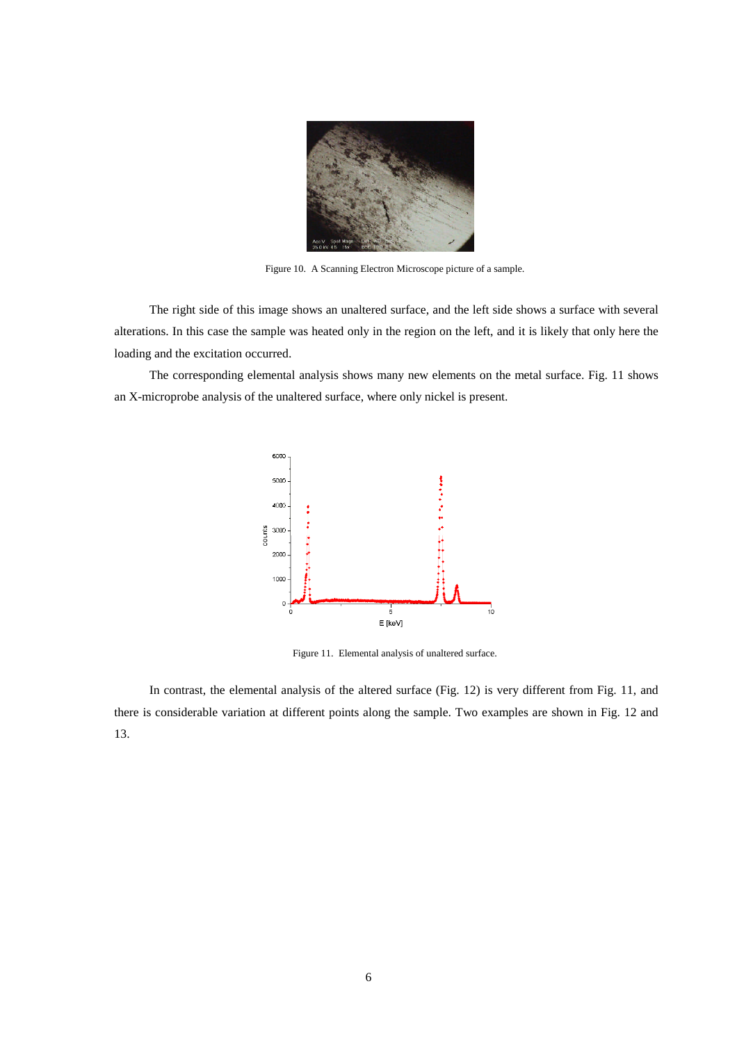

Figure 10. A Scanning Electron Microscope picture of a sample.

The right side of this image shows an unaltered surface, and the left side shows a surface with several alterations. In this case the sample was heated only in the region on the left, and it is likely that only here the loading and the excitation occurred.

The corresponding elemental analysis shows many new elements on the metal surface. Fig. 11 shows an X-microprobe analysis of the unaltered surface, where only nickel is present.



Figure 11. Elemental analysis of unaltered surface.

In contrast, the elemental analysis of the altered surface (Fig. 12) is very different from Fig. 11, and there is considerable variation at different points along the sample. Two examples are shown in Fig. 12 and 13.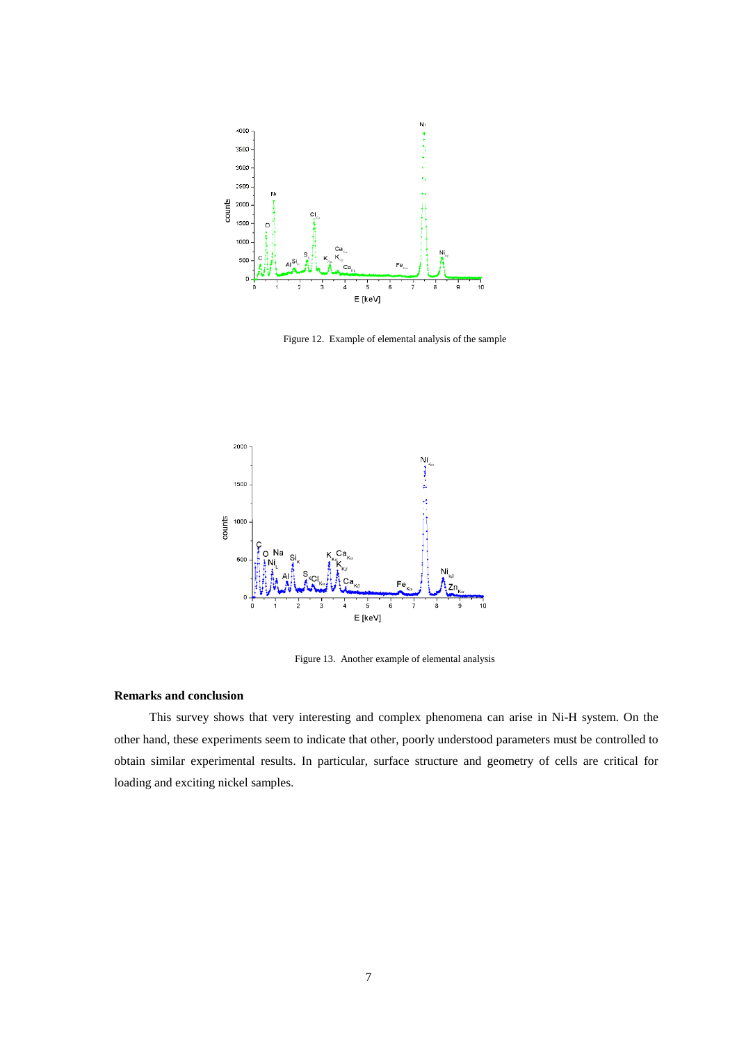

Figure 12. Example of elemental analysis of the sample



Figure 13. Another example of elemental analysis

# **Remarks and conclusion**

This survey shows that very interesting and complex phenomena can arise in Ni-H system. On the other hand, these experiments seem to indicate that other, poorly understood parameters must be controlled to obtain similar experimental results. In particular, surface structure and geometry of cells are critical for loading and exciting nickel samples.